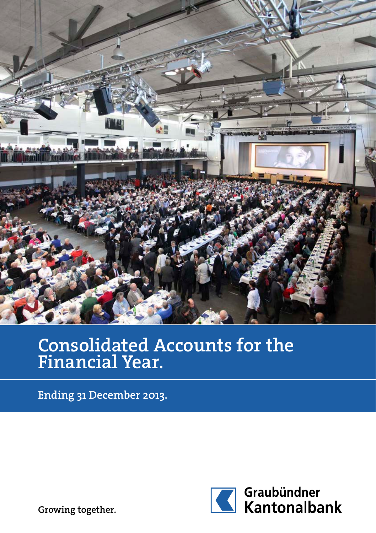

# Consolidated Accounts for the Financial Year.

Ending 31 December 2013.



Growing together.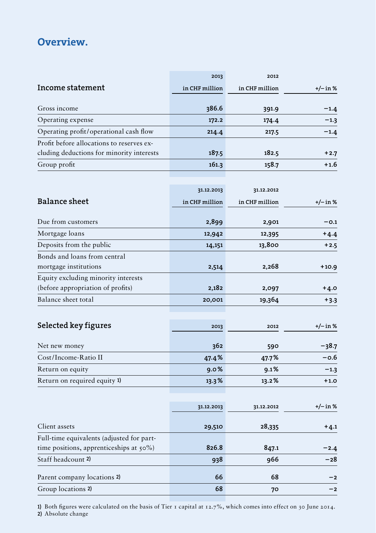### Overview.

|                                             | 2013           | 2012           |            |
|---------------------------------------------|----------------|----------------|------------|
| Income statement                            | in CHF million | in CHF million | $+/-$ in % |
|                                             |                |                |            |
| Gross income                                | 386.6          | 391.9          | $-1.4$     |
| Operating expense                           | 172.2          | 174.4          | $-1.3$     |
| Operating profit/operational cash flow      | 214.4          | 217.5          | $-1.4$     |
| Profit before allocations to reserves ex-   |                |                |            |
| cluding deductions for minority interests   | 187.5          | 182.5          | $+2.7$     |
| Group profit                                | 161.3          | 158.7          | $+1.6$     |
|                                             |                |                |            |
|                                             | 31.12.2013     | 31.12.2012     |            |
| <b>Balance sheet</b>                        | in CHF million | in CHF million | +/– in %   |
| Due from customers                          | 2,899          | 2,901          | $-0.1$     |
| Mortgage loans                              | 12,942         | 12,395         | $+4.4$     |
| Deposits from the public                    | 14,151         | 13,800         | $+2.5$     |
| Bonds and loans from central                |                |                |            |
| mortgage institutions                       | 2,514          | 2,268          | +10.9      |
| Equity excluding minority interests         |                |                |            |
| (before appropriation of profits)           | 2,182          | 2,097          | $+4.0$     |
| Balance sheet total                         | 20,001         | 19,364         | $+3.3$     |
|                                             |                |                |            |
| Selected key figures                        | 2013           | 2012           | +/– in %   |
| Net new money                               | 362            | 590            | -38.7      |
| Cost/Income-Ratio II                        | 47.4%          | 47.7%          | -0.6       |
| Return on equity                            | 9.0%           | 9.1%           | -1.3       |
| Return on required equity 1)                | 13.3%          | 13.2%          | $+1.0$     |
|                                             |                |                |            |
|                                             |                |                |            |
|                                             | 31.12.2013     | 31.12.2012     | +/– in %   |
| Client assets                               | 29,510         | 28,335         | $+4.1$     |
| Full-time equivalents (adjusted for part-   |                |                |            |
| time positions, apprenticeships at $50\%$ ) | 826.8          | 847.1          | $-2.4$     |
| Staff headcount 2)                          | 938            | 966            | -28        |
| Parent company locations 2)                 | 66             | 68             | $-2$       |
| Group locations 2)                          | 68             | 70             | $-2$       |

1) Both figures were calculated on the basis of Tier 1 capital at 12.7%, which comes into effect on 30 June 2014. 2) Absolute change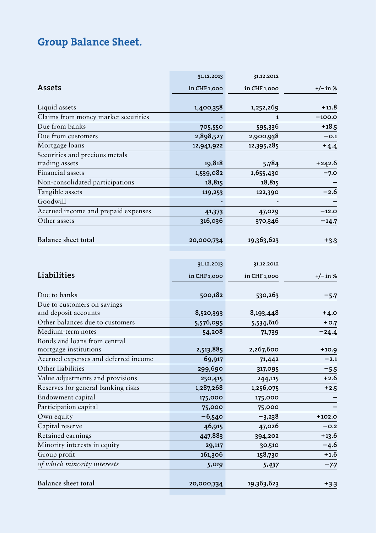# Group Balance Sheet.

|                                     | 31.12.2013   | 31.12.2012   |          |
|-------------------------------------|--------------|--------------|----------|
| Assets                              | in CHF 1,000 | in CHF 1,000 | +/-in%   |
|                                     |              |              |          |
| Liquid assets                       | 1,400,358    | 1,252,269    | $+11.8$  |
| Claims from money market securities |              | 1            | $-100.0$ |
| Due from banks                      | 705,550      | 595,336      | $+18.5$  |
| Due from customers                  | 2,898,527    | 2,900,938    | $-0.1$   |
| Mortgage loans                      | 12,941,922   | 12,395,285   | $+4.4$   |
| Securities and precious metals      |              |              |          |
| trading assets                      | 19,818       | 5,784        | $+242.6$ |
| Financial assets                    | 1,539,082    | 1,655,430    | $-7.0$   |
| Non-consolidated participations     | 18,815       | 18,815       |          |
| Tangible assets                     | 119,253      | 122,390      | $-2.6$   |
| Goodwill                            |              |              |          |
| Accrued income and prepaid expenses | 41,373       | 47,029       | $-12.0$  |
| Other assets                        | 316,036      | 370,346      | $-14.7$  |
|                                     |              |              |          |
| Balance sheet total                 | 20,000,734   | 19,363,623   | $+3.3$   |

|                                      | 31.12.2013   | 31.12.2012   |          |
|--------------------------------------|--------------|--------------|----------|
| Liabilities                          | in CHF 1,000 | in CHF 1,000 | +/-in%   |
|                                      |              |              |          |
| Due to banks                         | 500,182      | 530,263      | $-5.7$   |
| Due to customers on savings          |              |              |          |
| and deposit accounts                 | 8,520,393    | 8,193,448    | $+4.0$   |
| Other balances due to customers      | 5,576,095    | 5,534,616    | $+0.7$   |
| Medium-term notes                    | 54,208       | 71,739       | $-24.4$  |
| Bonds and loans from central         |              |              |          |
| mortgage institutions                | 2,513,885    | 2,267,600    | $+10.9$  |
| Accrued expenses and deferred income | 69,917       | 71,442       | $-2.1$   |
| Other liabilities                    | 299,690      | 317,095      | $-5.5$   |
| Value adjustments and provisions     | 250,415      | 244,115      | $+2.6$   |
| Reserves for general banking risks   | 1,287,268    | 1,256,075    | $+2.5$   |
| Endowment capital                    | 175,000      | 175,000      |          |
| Participation capital                | 75,000       | 75,000       |          |
| Own equity                           | $-6,540$     | $-3,238$     | $+102.0$ |
| Capital reserve                      | 46,915       | 47,026       | $-0.2$   |
| Retained earnings                    | 447,883      | 394,202      | $+13.6$  |
| Minority interests in equity         | 29,117       | 30,510       | $-4.6$   |
| Group profit                         | 161,306      | 158,730      | $+1.6$   |
| of which minority interests          | 5,019        | 5,437        | $-7.7$   |
|                                      |              |              |          |
| Balance sheet total                  | 20,000,734   | 19,363,623   | $+3.3$   |
|                                      |              |              |          |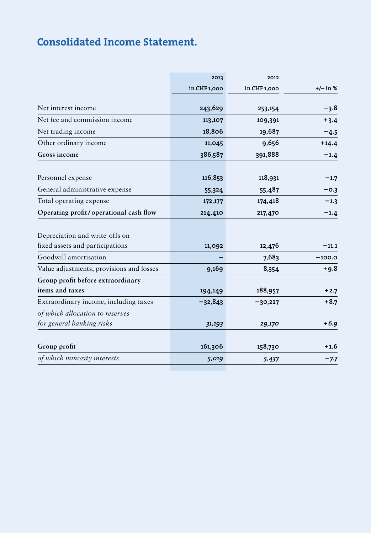### Consolidated Income Statement.

|                                          | 2013         | 2012         |          |
|------------------------------------------|--------------|--------------|----------|
|                                          | in CHF 1,000 | in CHF 1,000 | +/– in % |
| Net interest income                      | 243,629      | 253,154      | $-3.8$   |
| Net fee and commission income            | 113,107      | 109,391      | $+3.4$   |
| Net trading income                       | 18,806       | 19,687       | $-4.5$   |
| Other ordinary income                    | 11,045       | 9,656        | $+14.4$  |
| Gross income                             | 386,587      | 391,888      | $-1.4$   |
|                                          |              |              |          |
| Personnel expense                        | 116,853      | 118,931      | $-1.7$   |
| General administrative expense           | 55,324       | 55,487       | $-0.3$   |
| Total operating expense                  | 172,177      | 174,418      | $-1.3$   |
| Operating profit/operational cash flow   | 214,410      | 217,470      | $-1.4$   |
|                                          |              |              |          |
| Depreciation and write-offs on           |              |              |          |
| fixed assets and participations          | 11,092       | 12,476       | $-11.1$  |
| Goodwill amortisation                    |              | 7,683        | $-100.0$ |
| Value adjustments, provisions and losses | 9,169        | 8,354        | $+9.8$   |
| Group profit before extraordinary        |              |              |          |
| items and taxes                          | 194,149      | 188,957      | $+2.7$   |
| Extraordinary income, including taxes    | $-32,843$    | $-30,227$    | $+8.7$   |
| of which allocation to reserves          |              |              |          |
| for general banking risks                | 31,193       | 29,170       | $+6.9$   |
|                                          |              |              |          |
| Group profit                             | 161,306      | 158,730      | $+1.6$   |
| of which minority interests              | 5,019        | 5,437        | $-7.7$   |
|                                          |              |              |          |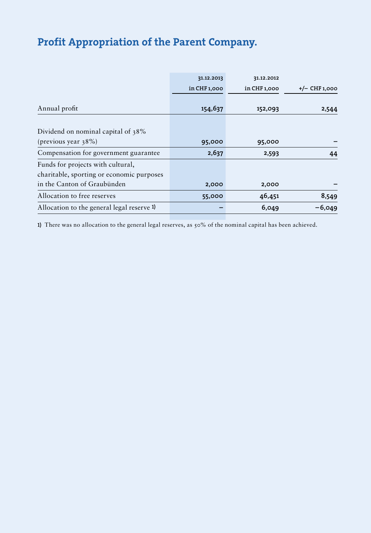## Profit Appropriation of the Parent Company.

|                                            | 31.12.2013   | 31.12.2012   |                 |
|--------------------------------------------|--------------|--------------|-----------------|
|                                            | in CHF 1,000 | in CHF 1,000 | $+/-$ CHF 1,000 |
|                                            |              |              |                 |
| Annual profit                              | 154,637      | 152,093      | 2,544           |
|                                            |              |              |                 |
| Dividend on nominal capital of 38%         |              |              |                 |
| (previous year $38\%$ )                    | 95,000       | 95,000       |                 |
| Compensation for government guarantee      | 2,637        | 2,593        | 44              |
| Funds for projects with cultural,          |              |              |                 |
| charitable, sporting or economic purposes  |              |              |                 |
| in the Canton of Graubünden                | 2,000        | 2,000        |                 |
| Allocation to free reserves                | 55,000       | 46,451       | 8,549           |
| Allocation to the general legal reserve 1) |              | 6,049        | -6,049          |

1) There was no allocation to the general legal reserves, as 50% of the nominal capital has been achieved.